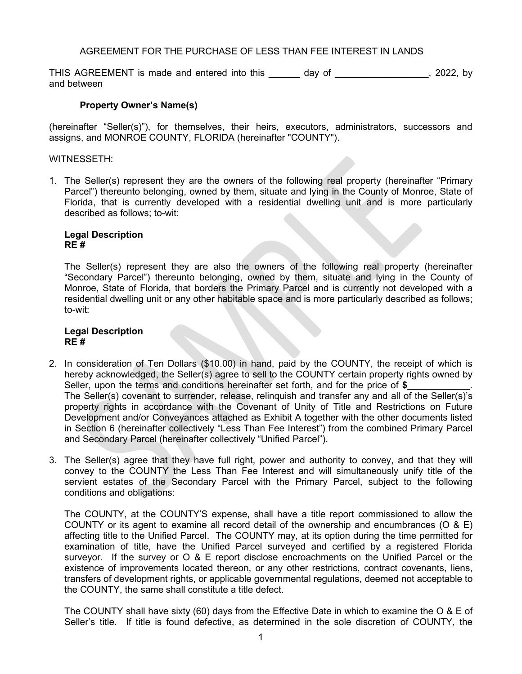# AGREEMENT FOR THE PURCHASE OF LESS THAN FEE INTEREST IN LANDS

THIS AGREEMENT is made and entered into this \_\_\_\_\_\_ day of \_\_\_\_\_\_\_\_\_\_\_\_\_\_\_\_, 2022, by and between

## **Property Owner's Name(s)**

(hereinafter "Seller(s)"), for themselves, their heirs, executors, administrators, successors and assigns, and MONROE COUNTY, FLORIDA (hereinafter "COUNTY").

### WITNESSETH:

1. The Seller(s) represent they are the owners of the following real property (hereinafter "Primary Parcel") thereunto belonging, owned by them, situate and lying in the County of Monroe, State of Florida, that is currently developed with a residential dwelling unit and is more particularly described as follows; to-wit:

#### **Legal Description RE #**

The Seller(s) represent they are also the owners of the following real property (hereinafter "Secondary Parcel") thereunto belonging, owned by them, situate and lying in the County of Monroe, State of Florida, that borders the Primary Parcel and is currently not developed with a residential dwelling unit or any other habitable space and is more particularly described as follows; to-wit:

### **Legal Description RE #**

- 2. In consideration of Ten Dollars (\$10.00) in hand, paid by the COUNTY, the receipt of which is hereby acknowledged, the Seller(s) agree to sell to the COUNTY certain property rights owned by Seller, upon the terms and conditions hereinafter set forth, and for the price of \$ The Seller(s) covenant to surrender, release, relinquish and transfer any and all of the Seller(s)'s property rights in accordance with the Covenant of Unity of Title and Restrictions on Future Development and/or Conveyances attached as Exhibit A together with the other documents listed in Section 6 (hereinafter collectively "Less Than Fee Interest") from the combined Primary Parcel and Secondary Parcel (hereinafter collectively "Unified Parcel").
- 3. The Seller(s) agree that they have full right, power and authority to convey, and that they will convey to the COUNTY the Less Than Fee Interest and will simultaneously unify title of the servient estates of the Secondary Parcel with the Primary Parcel, subject to the following conditions and obligations:

The COUNTY, at the COUNTY'S expense, shall have a title report commissioned to allow the COUNTY or its agent to examine all record detail of the ownership and encumbrances ( $\overline{O}$  & E) affecting title to the Unified Parcel. The COUNTY may, at its option during the time permitted for examination of title, have the Unified Parcel surveyed and certified by a registered Florida surveyor. If the survey or O & E report disclose encroachments on the Unified Parcel or the existence of improvements located thereon, or any other restrictions, contract covenants, liens, transfers of development rights, or applicable governmental regulations, deemed not acceptable to the COUNTY, the same shall constitute a title defect.

The COUNTY shall have sixty (60) days from the Effective Date in which to examine the O & E of Seller's title. If title is found defective, as determined in the sole discretion of COUNTY, the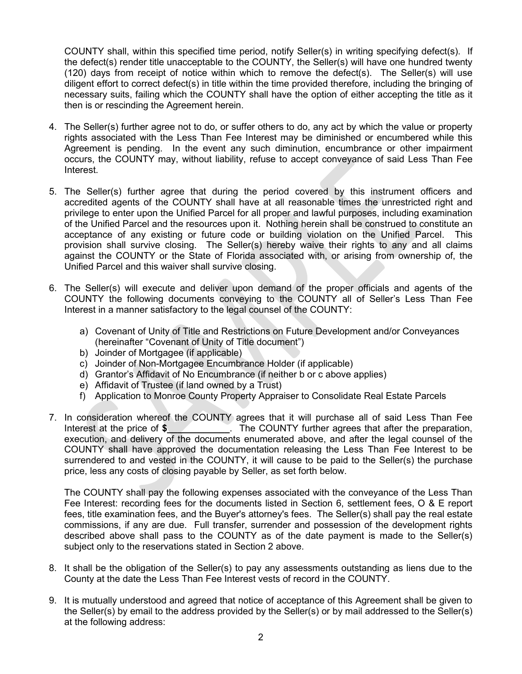COUNTY shall, within this specified time period, notify Seller(s) in writing specifying defect(s). If the defect(s) render title unacceptable to the COUNTY, the Seller(s) will have one hundred twenty (120) days from receipt of notice within which to remove the defect(s). The Seller(s) will use diligent effort to correct defect(s) in title within the time provided therefore, including the bringing of necessary suits, failing which the COUNTY shall have the option of either accepting the title as it then is or rescinding the Agreement herein.

- 4. The Seller(s) further agree not to do, or suffer others to do, any act by which the value or property rights associated with the Less Than Fee Interest may be diminished or encumbered while this Agreement is pending. In the event any such diminution, encumbrance or other impairment occurs, the COUNTY may, without liability, refuse to accept conveyance of said Less Than Fee Interest.
- 5. The Seller(s) further agree that during the period covered by this instrument officers and accredited agents of the COUNTY shall have at all reasonable times the unrestricted right and privilege to enter upon the Unified Parcel for all proper and lawful purposes, including examination of the Unified Parcel and the resources upon it. Nothing herein shall be construed to constitute an acceptance of any existing or future code or building violation on the Unified Parcel. This provision shall survive closing. The Seller(s) hereby waive their rights to any and all claims against the COUNTY or the State of Florida associated with, or arising from ownership of, the Unified Parcel and this waiver shall survive closing.
- 6. The Seller(s) will execute and deliver upon demand of the proper officials and agents of the COUNTY the following documents conveying to the COUNTY all of Seller's Less Than Fee Interest in a manner satisfactory to the legal counsel of the COUNTY:
	- a) Covenant of Unity of Title and Restrictions on Future Development and/or Conveyances (hereinafter "Covenant of Unity of Title document")
	- b) Joinder of Mortgagee (if applicable)
	- c) Joinder of Non-Mortgagee Encumbrance Holder (if applicable)
	- d) Grantor's Affidavit of No Encumbrance (if neither b or c above applies)
	- e) Affidavit of Trustee (if land owned by a Trust)
	- f) Application to Monroe County Property Appraiser to Consolidate Real Estate Parcels
- 7. In consideration whereof the COUNTY agrees that it will purchase all of said Less Than Fee Interest at the price of **\$\_\_\_\_\_\_\_\_\_\_\_\_**. The COUNTY further agrees that after the preparation, execution, and delivery of the documents enumerated above, and after the legal counsel of the COUNTY shall have approved the documentation releasing the Less Than Fee Interest to be surrendered to and vested in the COUNTY, it will cause to be paid to the Seller(s) the purchase price, less any costs of closing payable by Seller, as set forth below.

The COUNTY shall pay the following expenses associated with the conveyance of the Less Than Fee Interest: recording fees for the documents listed in Section 6, settlement fees, O & E report fees, title examination fees, and the Buyer's attorney's fees. The Seller(s) shall pay the real estate commissions, if any are due. Full transfer, surrender and possession of the development rights described above shall pass to the COUNTY as of the date payment is made to the Seller(s) subject only to the reservations stated in Section 2 above.

- 8. It shall be the obligation of the Seller(s) to pay any assessments outstanding as liens due to the County at the date the Less Than Fee Interest vests of record in the COUNTY.
- 9. It is mutually understood and agreed that notice of acceptance of this Agreement shall be given to the Seller(s) by email to the address provided by the Seller(s) or by mail addressed to the Seller(s) at the following address: